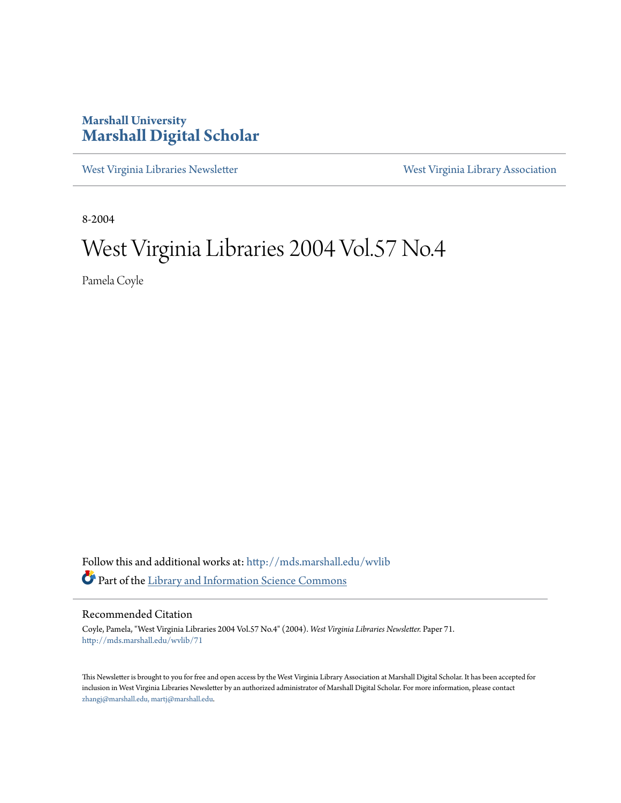### **Marshall University [Marshall Digital Scholar](http://mds.marshall.edu?utm_source=mds.marshall.edu%2Fwvlib%2F71&utm_medium=PDF&utm_campaign=PDFCoverPages)**

[West Virginia Libraries Newsletter](http://mds.marshall.edu/wvlib?utm_source=mds.marshall.edu%2Fwvlib%2F71&utm_medium=PDF&utm_campaign=PDFCoverPages) [West Virginia Library Association](http://mds.marshall.edu/wvla?utm_source=mds.marshall.edu%2Fwvlib%2F71&utm_medium=PDF&utm_campaign=PDFCoverPages)

8-2004

### West Virginia Libraries 2004 Vol.57 No.4

Pamela Coyle

Follow this and additional works at: [http://mds.marshall.edu/wvlib](http://mds.marshall.edu/wvlib?utm_source=mds.marshall.edu%2Fwvlib%2F71&utm_medium=PDF&utm_campaign=PDFCoverPages) Part of the [Library and Information Science Commons](http://network.bepress.com/hgg/discipline/1018?utm_source=mds.marshall.edu%2Fwvlib%2F71&utm_medium=PDF&utm_campaign=PDFCoverPages)

### Recommended Citation

Coyle, Pamela, "West Virginia Libraries 2004 Vol.57 No.4" (2004). *West Virginia Libraries Newsletter.* Paper 71. [http://mds.marshall.edu/wvlib/71](http://mds.marshall.edu/wvlib/71?utm_source=mds.marshall.edu%2Fwvlib%2F71&utm_medium=PDF&utm_campaign=PDFCoverPages)

This Newsletter is brought to you for free and open access by the West Virginia Library Association at Marshall Digital Scholar. It has been accepted for inclusion in West Virginia Libraries Newsletter by an authorized administrator of Marshall Digital Scholar. For more information, please contact [zhangj@marshall.edu, martj@marshall.edu](mailto:zhangj@marshall.edu,%20martj@marshall.edu).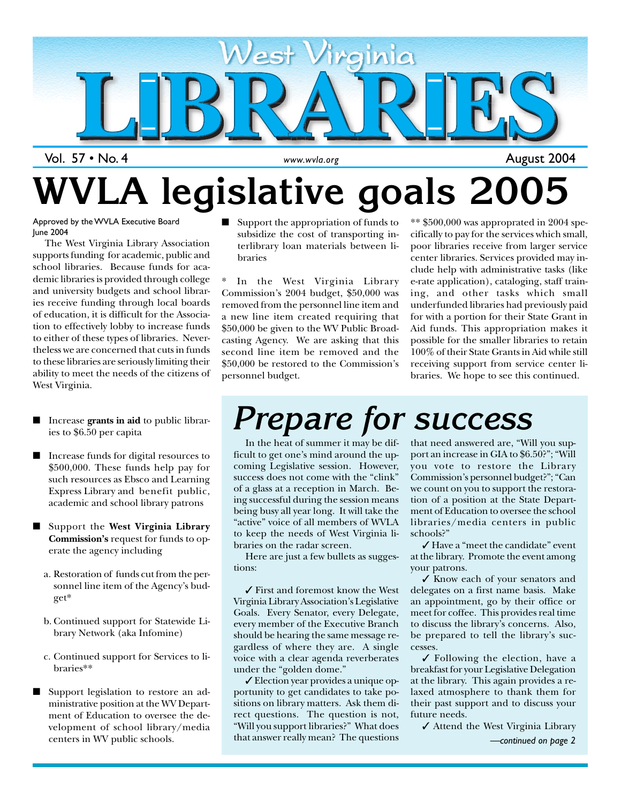

## **WVLA legislative goals 2005**

Approved by the WVLA Executive Board June 2004

The West Virginia Library Association supports funding for academic, public and school libraries. Because funds for academic libraries is provided through college and university budgets and school libraries receive funding through local boards of education, it is difficult for the Association to effectively lobby to increase funds to either of these types of libraries. Nevertheless we are concerned that cuts in funds to these libraries are seriously limiting their ability to meet the needs of the citizens of West Virginia.

- Increase **grants in aid** to public libraries to \$6.50 per capita
- Increase funds for digital resources to \$500,000. These funds help pay for such resources as Ebsco and Learning Express Library and benefit public, academic and school library patrons
- Support the **West Virginia Library Commission's** request for funds to operate the agency including
	- a. Restoration of funds cut from the personnel line item of the Agency's budget\*
	- b. Continued support for Statewide Library Network (aka Infomine)
	- c. Continued support for Services to libraries\*\*
- Support legislation to restore an administrative position at the WV Department of Education to oversee the development of school library/media centers in WV public schools.

Support the appropriation of funds to subsidize the cost of transporting interlibrary loan materials between libraries

In the West Virginia Library Commission's 2004 budget, \$50,000 was removed from the personnel line item and a new line item created requiring that \$50,000 be given to the WV Public Broadcasting Agency. We are asking that this second line item be removed and the \$50,000 be restored to the Commission's personnel budget.

 $**$ \$500,000 was approprated in 2004 specifically to pay for the services which small, poor libraries receive from larger service center libraries. Services provided may include help with administrative tasks (like e-rate application), cataloging, staff training, and other tasks which small underfunded libraries had previously paid for with a portion for their State Grant in Aid funds. This appropriation makes it possible for the smaller libraries to retain 100% of their State Grants in Aid while still receiving support from service center libraries. We hope to see this continued.

## *Prepare for success*

In the heat of summer it may be difficult to get one's mind around the upcoming Legislative session. However, success does not come with the "clink" of a glass at a reception in March. Being successful during the session means being busy all year long. It will take the "active" voice of all members of WVLA to keep the needs of West Virginia libraries on the radar screen.

Here are just a few bullets as suggestions:

✓ First and foremost know the West Virginia Library Association's Legislative Goals. Every Senator, every Delegate, every member of the Executive Branch should be hearing the same message regardless of where they are. A single voice with a clear agenda reverberates under the "golden dome."

✓ Election year provides a unique opportunity to get candidates to take positions on library matters. Ask them direct questions. The question is not, "Will you support libraries?" What does that answer really mean? The questions

that need answered are, "Will you support an increase in GIA to \$6.50?"; "Will you vote to restore the Library Commission's personnel budget?"; "Can we count on you to support the restoration of a position at the State Department of Education to oversee the school libraries/media centers in public schools?"

✓ Have a "meet the candidate" event at the library. Promote the event among your patrons.

✓ Know each of your senators and delegates on a first name basis. Make an appointment, go by their office or meet for coffee. This provides real time to discuss the library's concerns. Also, be prepared to tell the library's successes.

✓ Following the election, have a breakfast for your Legislative Delegation at the library. This again provides a relaxed atmosphere to thank them for their past support and to discuss your future needs.

✓ Attend the West Virginia Library

1 August 2004

*<sup>—</sup>continued on page 2*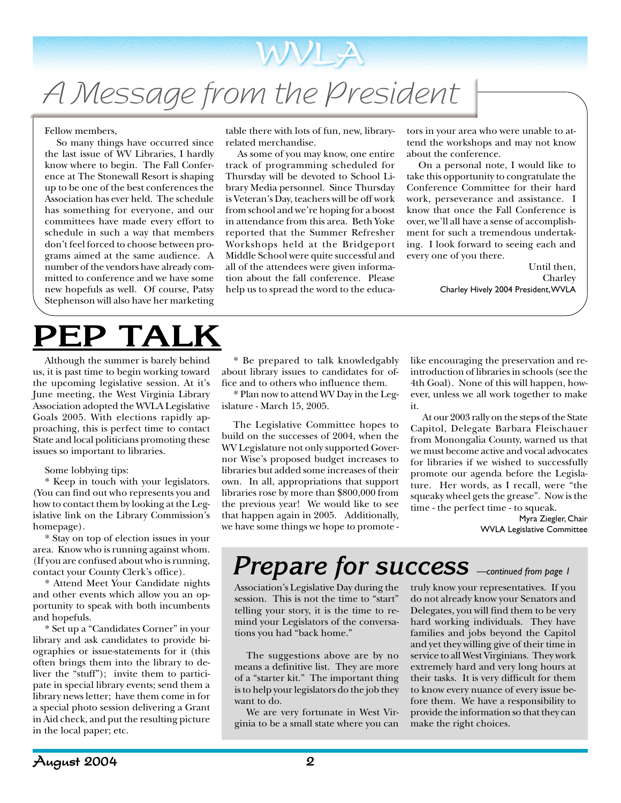## A Message from the President

#### Fellow members,

So many things have occurred since the last issue of WV Libraries, I hardly know where to begin. The Fall Conference at The Stonewall Resort is shaping up to be one of the best conferences the Association has ever held. The schedule has something for everyone, and our committees have made every effort to schedule in such a way that members don't feel forced to choose between programs aimed at the same audience. A number of the vendors have already committed to conference and we have some new hopefuls as well. Of course, Patsy Stephenson will also have her marketing

### **PEP TALK**

Although the summer is barely behind us, it is past time to begin working toward the upcoming legislative session. At it's June meeting, the West Virginia Library Association adopted the WVLA Legislative Goals 2005. With elections rapidly approaching, this is perfect time to contact State and local politicians promoting these issues so important to libraries.

#### Some lobbying tips:

\* Keep in touch with your legislators. (You can find out who represents you and how to contact them by looking at the Legislative link on the Library Commission's homepage).

\* Stay on top of election issues in your area. Know who is running against whom. (If you are confused about who is running, contact your County Clerk's office).

\* Attend Meet Your Candidate nights and other events which allow you an opportunity to speak with both incumbents and hopefuls.

\* Set up a "Candidates Corner" in your library and ask candidates to provide biographies or issue-statements for it (this often brings them into the library to deliver the "stuff"); invite them to participate in special library events; send them a library news letter; have them come in for a special photo session delivering a Grant in Aid check, and put the resulting picture in the local paper; etc.

table there with lots of fun, new, libraryrelated merchandise.

WVLA

As some of you may know, one entire track of programming scheduled for Thursday will be devoted to School Library Media personnel. Since Thursday is Veteran's Day, teachers will be off work from school and we're hoping for a boost in attendance from this area. Beth Yoke reported that the Summer Refresher Workshops held at the Bridgeport Middle School were quite successful and all of the attendees were given information about the fall conference. Please help us to spread the word to the educa-

tors in your area who were unable to attend the workshops and may not know about the conference.

On a personal note, I would like to take this opportunity to congratulate the Conference Committee for their hard work, perseverance and assistance. I know that once the Fall Conference is over, we'll all have a sense of accomplishment for such a tremendous undertaking. I look forward to seeing each and every one of you there.

> Until then, Charley Charley Hively 2004 President, WVLA

\* Be prepared to talk knowledgably about library issues to candidates for office and to others who influence them.

\* Plan now to attend WV Day in the Legislature - March 15, 2005.

The Legislative Committee hopes to build on the successes of 2004, when the WV Legislature not only supported Governor Wise's proposed budget increases to libraries but added some increases of their own. In all, appropriations that support libraries rose by more than \$800,000 from the previous year! We would like to see that happen again in 2005. Additionally, we have some things we hope to promote -

like encouraging the preservation and reintroduction of libraries in schools (see the 4th Goal). None of this will happen, however, unless we all work together to make it.

At our 2003 rally on the steps of the State Capitol, Delegate Barbara Fleischauer from Monongalia County, warned us that we must become active and vocal advocates for libraries if we wished to successfully promote our agenda before the Legislature. Her words, as I recall, were "the squeaky wheel gets the grease". Now is the time - the perfect time - to squeak.

> Myra Ziegler, Chair WVLA Legislative Committee

### *Prepare for success —continued from page 1*

Association's Legislative Day during the session. This is not the time to "start" telling your story, it is the time to remind your Legislators of the conversations you had "back home."

The suggestions above are by no means a definitive list. They are more of a "starter kit." The important thing is to help your legislators do the job they want to do.

We are very fortunate in West Virginia to be a small state where you can

truly know your representatives. If you do not already know your Senators and Delegates, you will find them to be very hard working individuals. They have families and jobs beyond the Capitol and yet they willing give of their time in service to all West Virginians. They work extremely hard and very long hours at their tasks. It is very difficult for them to know every nuance of every issue before them. We have a responsibility to provide the information so that they can make the right choices.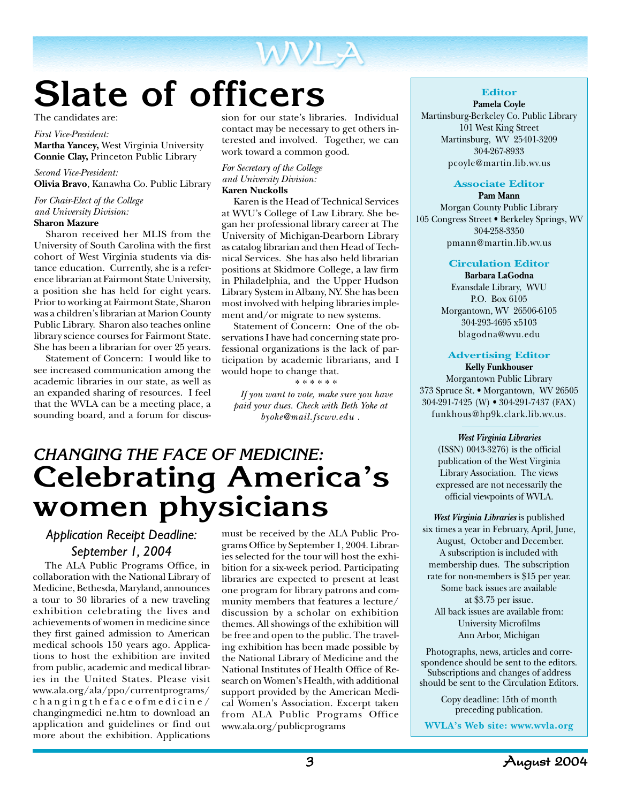

## **Slate of officers**

The candidates are:

#### *First Vice-President:*

**Martha Yancey,** West Virginia University **Connie Clay,** Princeton Public Library

#### *Second Vice-President:*

**Olivia Bravo**, Kanawha Co. Public Library

*For Chair-Elect of the College and University Division:* **Sharon Mazure**

Sharon received her MLIS from the University of South Carolina with the first cohort of West Virginia students via distance education. Currently, she is a reference librarian at Fairmont State University, a position she has held for eight years. Prior to working at Fairmont State, Sharon was a children's librarian at Marion County Public Library. Sharon also teaches online library science courses for Fairmont State. She has been a librarian for over 25 years.

Statement of Concern: I would like to see increased communication among the academic libraries in our state, as well as an expanded sharing of resources. I feel that the WVLA can be a meeting place, a sounding board, and a forum for discus-

sion for our state's libraries. Individual contact may be necessary to get others interested and involved. Together, we can work toward a common good.

#### *For Secretary of the College and University Division:* **Karen Nuckolls**

Karen is the Head of Technical Services at WVU's College of Law Library. She began her professional library career at The University of Michigan-Dearborn Library as catalog librarian and then Head of Technical Services. She has also held librarian positions at Skidmore College, a law firm in Philadelphia, and the Upper Hudson Library System in Albany, NY. She has been most involved with helping libraries implement and/or migrate to new systems.

Statement of Concern: One of the observations I have had concerning state professional organizations is the lack of participation by academic librarians, and I would hope to change that.

\* \* \* \* \* \* *If you want to vote, make sure you have paid your dues. Check with Beth Yoke at byoke@mail.fscwv.edu .*

### *CHANGING THE FACE OF MEDICINE:* **Celebrating America's women physicians**

### *Application Receipt Deadline: September 1, 2004*

The ALA Public Programs Office, in collaboration with the National Library of Medicine, Bethesda, Maryland, announces a tour to 30 libraries of a new traveling exhibition celebrating the lives and achievements of women in medicine since they first gained admission to American medical schools 150 years ago. Applications to host the exhibition are invited from public, academic and medical libraries in the United States. Please visit www.ala.org/ala/ppo/currentprograms/ changingthefaceofmedicine/ changingmedici ne.htm to download an application and guidelines or find out more about the exhibition. Applications

must be received by the ALA Public Programs Office by September 1, 2004. Libraries selected for the tour will host the exhibition for a six-week period. Participating libraries are expected to present at least one program for library patrons and community members that features a lecture/ discussion by a scholar on exhibition themes. All showings of the exhibition will be free and open to the public. The traveling exhibition has been made possible by the National Library of Medicine and the National Institutes of Health Office of Research on Women's Health, with additional support provided by the American Medical Women's Association. Excerpt taken from ALA Public Programs Office www.ala.org/publicprograms

### **Editor**

**Pamela Coyle** Martinsburg-Berkeley Co. Public Library 101 West King Street Martinsburg, WV 25401-3209 304-267-8933 pcoyle@martin.lib.wv.us

#### **Associate Editor**

**Pam Mann** Morgan County Public Library 105 Congress Street • Berkeley Springs, WV 304-258-3350 pmann@martin.lib.wv.us

#### **Circulation Editor**

**Barbara LaGodna** Evansdale Library, WVU P.O. Box 6105 Morgantown, WV 26506-6105 304-293-4695 x5103 blagodna@wvu.edu

### **Advertising Editor**

**Kelly Funkhouser** Morgantown Public Library 373 Spruce St. • Morgantown, WV 26505 304-291-7425 (W) • 304-291-7437 (FAX) funkhous@hp9k.clark.lib.wv.us.

> *West Virginia Libraries* (ISSN) 0043-3276) is the official publication of the West Virginia Library Association. The views expressed are not necessarily the official viewpoints of WVLA.

*West Virginia Libraries* is published six times a year in February, April, June, August, October and December. A subscription is included with membership dues. The subscription rate for non-members is \$15 per year. Some back issues are available at \$3.75 per issue. All back issues are available from: University Microfilms Ann Arbor, Michigan

Photographs, news, articles and correspondence should be sent to the editors. Subscriptions and changes of address should be sent to the Circulation Editors.

> Copy deadline: 15th of month preceding publication.

**WVLA's Web site: www.wvla.org**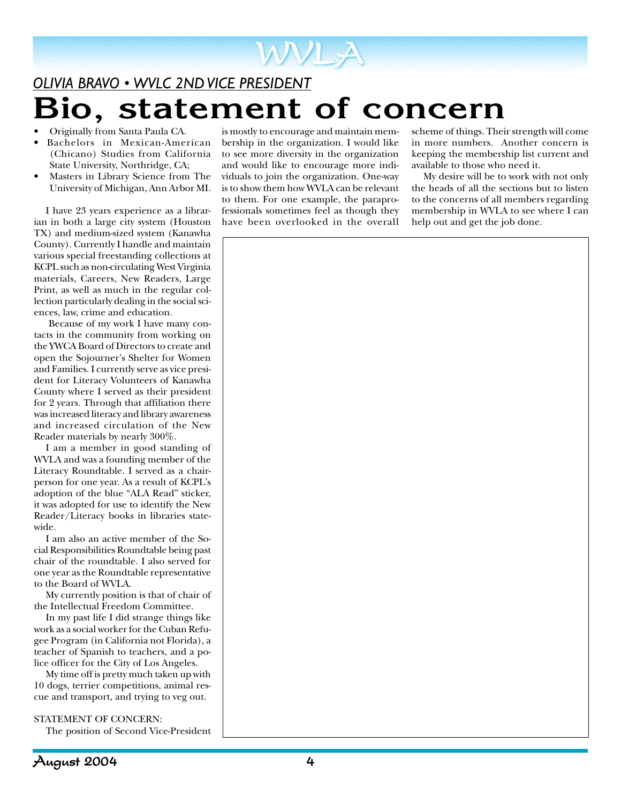

- Originally from Santa Paula CA.
- Bachelors in Mexican-American (Chicano) Studies from California State University, Northridge, CA;
- Masters in Library Science from The University of Michigan, Ann Arbor MI.

I have 23 years experience as a librarian in both a large city system (Houston TX) and medium-sized system (Kanawha County). Currently I handle and maintain various special freestanding collections at KCPL such as non-circulating West Virginia materials, Careers, New Readers, Large Print, as well as much in the regular collection particularly dealing in the social sciences, law, crime and education.

 Because of my work I have many contacts in the community from working on the YWCA Board of Directors to create and open the Sojourner's Shelter for Women and Families. I currently serve as vice president for Literacy Volunteers of Kanawha County where I served as their president for 2 years. Through that affiliation there was increased literacy and library awareness and increased circulation of the New Reader materials by nearly 300%.

I am a member in good standing of WVLA and was a founding member of the Literacy Roundtable. I served as a chairperson for one year. As a result of KCPL's adoption of the blue "ALA Read" sticker, it was adopted for use to identify the New Reader/Literacy books in libraries statewide.

I am also an active member of the Social Responsibilities Roundtable being past chair of the roundtable. I also served for one year as the Roundtable representative to the Board of WVLA.

My currently position is that of chair of the Intellectual Freedom Committee.

In my past life I did strange things like work as a social worker for the Cuban Refugee Program (in California not Florida), a teacher of Spanish to teachers, and a police officer for the City of Los Angeles.

My time off is pretty much taken up with 10 dogs, terrier competitions, animal rescue and transport, and trying to veg out.

STATEMENT OF CONCERN:

The position of Second Vice-President

is mostly to encourage and maintain membership in the organization. I would like to see more diversity in the organization and would like to encourage more individuals to join the organization. One-way is to show them how WVLA can be relevant to them. For one example, the paraprofessionals sometimes feel as though they have been overlooked in the overall

scheme of things. Their strength will come in more numbers. Another concern is keeping the membership list current and available to those who need it.

My desire will be to work with not only the heads of all the sections but to listen to the concerns of all members regarding membership in WVLA to see where I can help out and get the job done.

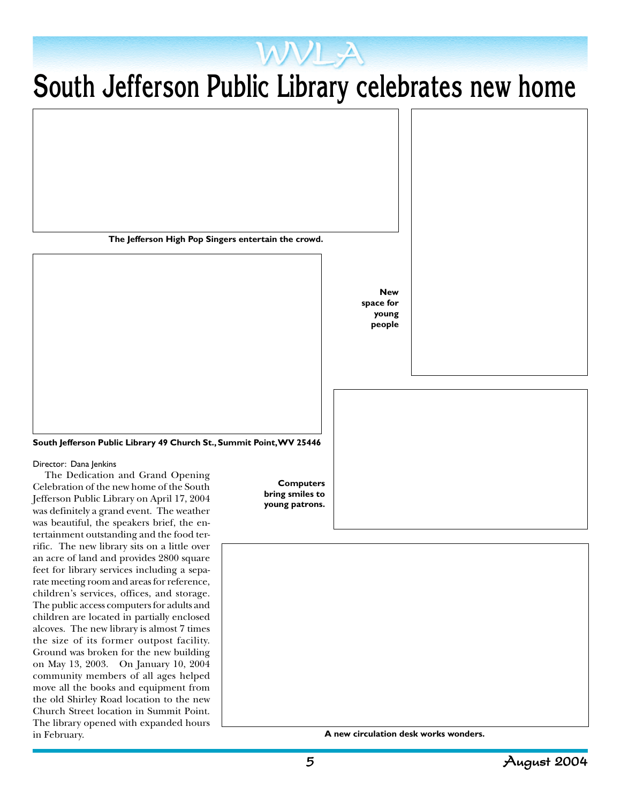### **South Jefferson Public Library celebrates new home**

WVLA

**The Jefferson High Pop Singers entertain the crowd.**

**New space for young people**

**South Jefferson Public Library 49 Church St., Summit Point, WV 25446**

Director: Dana Jenkins

The Dedication and Grand Opening Celebration of the new home of the South Jefferson Public Library on April 17, 2004 was definitely a grand event. The weather was beautiful, the speakers brief, the entertainment outstanding and the food terrific. The new library sits on a little over an acre of land and provides 2800 square feet for library services including a separate meeting room and areas for reference, children's services, offices, and storage. The public access computers for adults and children are located in partially enclosed alcoves. The new library is almost 7 times the size of its former outpost facility. Ground was broken for the new building on May 13, 2003. On January 10, 2004 community members of all ages helped move all the books and equipment from the old Shirley Road location to the new Church Street location in Summit Point. The library opened with expanded hours in February.

**Computers bring smiles to young patrons.**



**A new circulation desk works wonders.**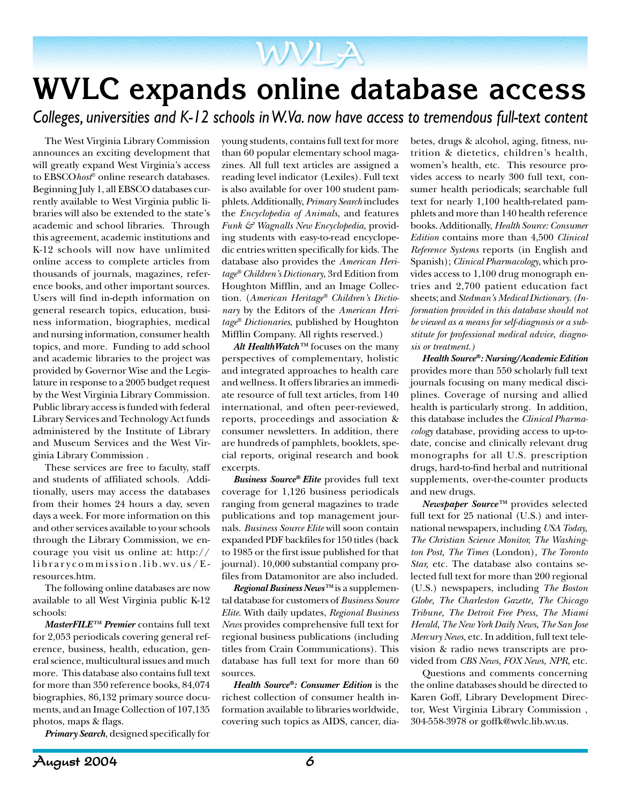### **WVLC expands online database access**

WVLA

*Colleges, universities and K-12 schools in W.Va. now have access to tremendous full-text content*

The West Virginia Library Commission announces an exciting development that will greatly expand West Virginia's access to EBSCO*host*® online research databases. Beginning July 1, all EBSCO databases currently available to West Virginia public libraries will also be extended to the state's academic and school libraries. Through this agreement, academic institutions and K-12 schools will now have unlimited online access to complete articles from thousands of journals, magazines, reference books, and other important sources. Users will find in-depth information on general research topics, education, business information, biographies, medical and nursing information, consumer health topics, and more. Funding to add school and academic libraries to the project was provided by Governor Wise and the Legislature in response to a 2005 budget request by the West Virginia Library Commission. Public library access is funded with federal Library Services and Technology Act funds administered by the Institute of Library and Museum Services and the West Virginia Library Commission .

These services are free to faculty, staff and students of affiliated schools. Additionally, users may access the databases from their homes 24 hours a day, seven days a week. For more information on this and other services available to your schools through the Library Commission, we encourage you visit us online at: http:// librarycommission.lib.wv.us/Eresources.htm.

The following online databases are now available to all West Virginia public K-12 schools:

*MasterFILE™ Premier* contains full text for 2,053 periodicals covering general reference, business, health, education, general science, multicultural issues and much more. This database also contains full text for more than 350 reference books, 84,074 biographies, 86,132 primary source documents, and an Image Collection of 107,135 photos, maps & flags.

*Primary Search*, designed specifically for

young students, contains full text for more than 60 popular elementary school magazines. All full text articles are assigned a reading level indicator (Lexiles). Full text is also available for over 100 student pamphlets. Additionally, *Primary Search* includes the *Encyclopedia of Animals*, and features *Funk & Wagnalls New Encyclopedia*, providing students with easy-to-read encyclopedic entries written specifically for kids. The database also provides the *American Heritage® Children's Dictionary*, 3rd Edition from Houghton Mifflin, and an Image Collection. (*American Heritage® Children's Dictionary* by the Editors of the *American Heritage® Dictionaries*, published by Houghton Mifflin Company. All rights reserved.)

*Alt HealthWatch™* focuses on the many perspectives of complementary, holistic and integrated approaches to health care and wellness. It offers libraries an immediate resource of full text articles, from 140 international, and often peer-reviewed, reports, proceedings and association & consumer newsletters. In addition, there are hundreds of pamphlets, booklets, special reports, original research and book excerpts.

*Business Source® Elite* provides full text coverage for 1,126 business periodicals ranging from general magazines to trade publications and top management journals. *Business Source Elite* will soon contain expanded PDF backfiles for 150 titles (back to 1985 or the first issue published for that journal). 10,000 substantial company profiles from Datamonitor are also included.

*Regional Business News™* is a supplemental database for customers of *Business Source Elite*. With daily updates, *Regional Business News* provides comprehensive full text for regional business publications (including titles from Crain Communications). This database has full text for more than 60 sources.

*Health Source®: Consumer Edition* is the richest collection of consumer health information available to libraries worldwide, covering such topics as AIDS, cancer, dia-

betes, drugs & alcohol, aging, fitness, nutrition & dietetics, children's health, women's health, etc. This resource provides access to nearly 300 full text, consumer health periodicals; searchable full text for nearly 1,100 health-related pamphlets and more than 140 health reference books. Additionally, *Health Source: Consumer Edition* contains more than 4,500 *Clinical Reference Systems* reports (in English and Spanish); *Clinical Pharmacology*, which provides access to 1,100 drug monograph entries and 2,700 patient education fact sheets; and *Stedman's Medical Dictionary*. *(Information provided in this database should not be viewed as a means for self-diagnosis or a substitute for professional medical advice, diagnosis or treatment.)*

*Health Source®: Nursing/Academic Edition* provides more than 550 scholarly full text journals focusing on many medical disciplines. Coverage of nursing and allied health is particularly strong. In addition, this database includes the *Clinical Pharmacology* database, providing access to up-todate, concise and clinically relevant drug monographs for all U.S. prescription drugs, hard-to-find herbal and nutritional supplements, over-the-counter products and new drugs.

*Newspaper Source™* provides selected full text for 25 national (U.S.) and international newspapers, including *USA Today, The Christian Science Monitor, The Washington Post, The Times* (London)*, The Toronto Star,* etc. The database also contains selected full text for more than 200 regional (U.S.) newspapers, including *The Boston Globe, The Charleston Gazette, The Chicago Tribune, The Detroit Free Press, The Miami Herald, The New York Daily News, The San Jose Mercury News,* etc. In addition, full text television & radio news transcripts are provided from *CBS News, FOX News, NPR*, etc.

Questions and comments concerning the online databases should be directed to Karen Goff, Library Development Director, West Virginia Library Commission , 304-558-3978 or goffk@wvlc.lib.wv.us.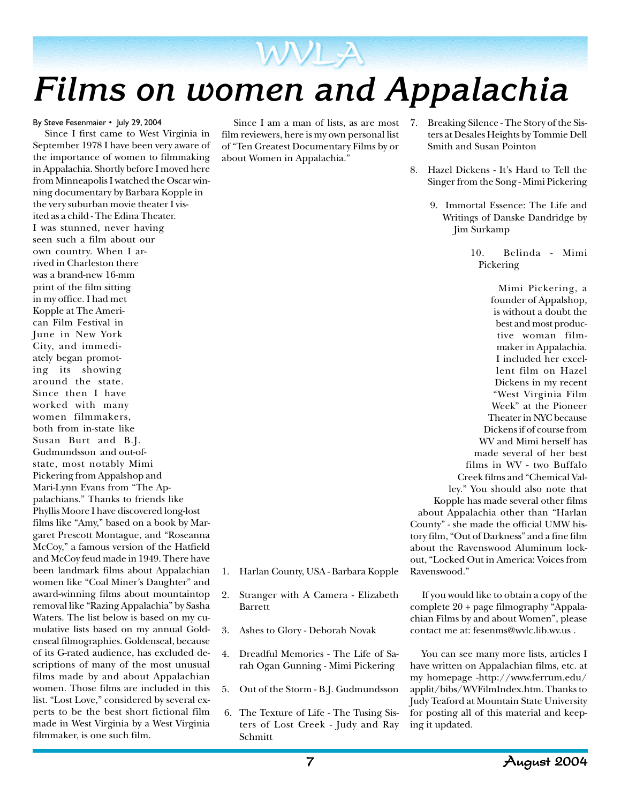

### By Steve Fesenmaier • July 29, 2004

Since I first came to West Virginia in September 1978 I have been very aware of the importance of women to filmmaking in Appalachia. Shortly before I moved here from Minneapolis I watched the Oscar winning documentary by Barbara Kopple in the very suburban movie theater I visited as a child - The Edina Theater. I was stunned, never having seen such a film about our own country. When I arrived in Charleston there was a brand-new 16-mm print of the film sitting in my office. I had met Kopple at The American Film Festival in June in New York City, and immediately began promoting its showing around the state. Since then I have worked with many women filmmakers, both from in-state like Susan Burt and B.J. Gudmundsson and out-ofstate, most notably Mimi Pickering from Appalshop and Mari-Lynn Evans from "The Appalachians." Thanks to friends like Phyllis Moore I have discovered long-lost films like "Amy," based on a book by Margaret Prescott Montague, and "Roseanna McCoy," a famous version of the Hatfield and McCoy feud made in 1949. There have been landmark films about Appalachian women like "Coal Miner's Daughter" and award-winning films about mountaintop removal like "Razing Appalachia" by Sasha Waters. The list below is based on my cumulative lists based on my annual Goldenseal filmographies. Goldenseal, because of its G-rated audience, has excluded descriptions of many of the most unusual films made by and about Appalachian women. Those films are included in this list. "Lost Love," considered by several experts to be the best short fictional film made in West Virginia by a West Virginia filmmaker, is one such film.

film reviewers, here is my own personal list of "Ten Greatest Documentary Films by or about Women in Appalachia."

- Since I am a man of lists, as are most 7. Breaking Silence The Story of the Sisters at Desales Heights by Tommie Dell Smith and Susan Pointon
	- 8. Hazel Dickens It's Hard to Tell the Singer from the Song - Mimi Pickering
		- 9. Immortal Essence: The Life and Writings of Danske Dandridge by Jim Surkamp

10. Belinda - Mimi Pickering

Mimi Pickering, a founder of Appalshop, is without a doubt the best and most productive woman filmmaker in Appalachia. I included her excellent film on Hazel Dickens in my recent "West Virginia Film Week" at the Pioneer Theater in NYC because Dickens if of course from WV and Mimi herself has made several of her best films in WV - two Buffalo Creek films and "Chemical Valley." You should also note that Kopple has made several other films about Appalachia other than "Harlan County" - she made the official UMW history film, "Out of Darkness" and a fine film about the Ravenswood Aluminum lockout, "Locked Out in America: Voices from Ravenswood."

- 1. Harlan County, USA Barbara Kopple
- 2. Stranger with A Camera Elizabeth Barrett
- 3. Ashes to Glory Deborah Novak
- 4. Dreadful Memories The Life of Sarah Ogan Gunning - Mimi Pickering
- 5. Out of the Storm B.J. Gudmundsson
- 6. The Texture of Life The Tusing Sisters of Lost Creek - Judy and Ray Schmitt

If you would like to obtain a copy of the complete 20 + page filmography "Appalachian Films by and about Women", please contact me at: fesenms@wvlc.lib.wv.us .

You can see many more lists, articles I have written on Appalachian films, etc. at my homepage -http://www.ferrum.edu/ applit/bibs/WVFilmIndex.htm. Thanks to Judy Teaford at Mountain State University for posting all of this material and keeping it updated.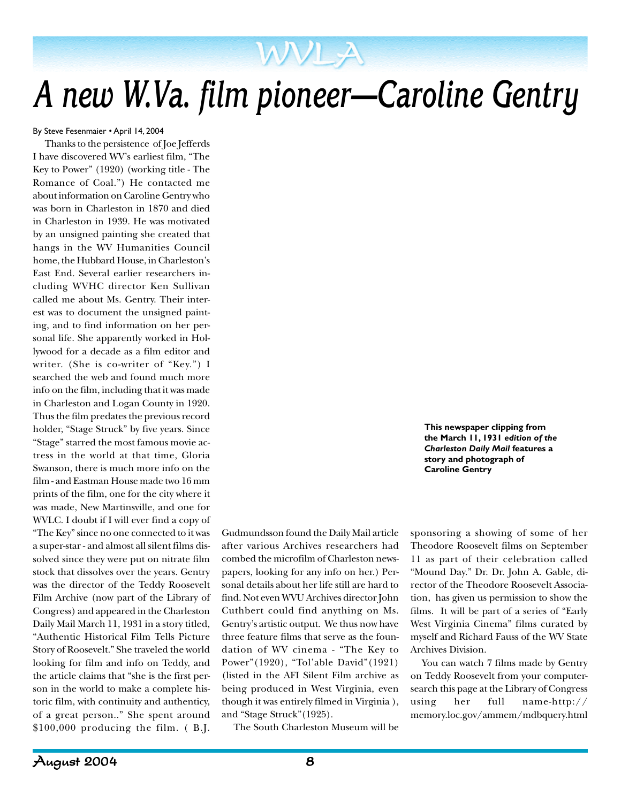## *A new W.Va. film pioneer—Caroline Gentry*

WVLA

By Steve Fesenmaier • April 14, 2004

Thanks to the persistence of Joe Jefferds I have discovered WV's earliest film, "The Key to Power" (1920) (working title - The Romance of Coal.") He contacted me about information on Caroline Gentry who was born in Charleston in 1870 and died in Charleston in 1939. He was motivated by an unsigned painting she created that hangs in the WV Humanities Council home, the Hubbard House, in Charleston's East End. Several earlier researchers including WVHC director Ken Sullivan called me about Ms. Gentry. Their interest was to document the unsigned painting, and to find information on her personal life. She apparently worked in Hollywood for a decade as a film editor and writer. (She is co-writer of "Key.") I searched the web and found much more info on the film, including that it was made in Charleston and Logan County in 1920. Thus the film predates the previous record holder, "Stage Struck" by five years. Since "Stage" starred the most famous movie actress in the world at that time, Gloria Swanson, there is much more info on the film - and Eastman House made two 16 mm prints of the film, one for the city where it was made, New Martinsville, and one for WVLC. I doubt if I will ever find a copy of "The Key" since no one connected to it was a super-star - and almost all silent films dissolved since they were put on nitrate film stock that dissolves over the years. Gentry was the director of the Teddy Roosevelt Film Archive (now part of the Library of Congress) and appeared in the Charleston Daily Mail March 11, 1931 in a story titled, "Authentic Historical Film Tells Picture Story of Roosevelt." She traveled the world looking for film and info on Teddy, and the article claims that "she is the first person in the world to make a complete historic film, with continuity and authenticy, of a great person.." She spent around  $$100,000$  producing the film. (B.J.

Gudmundsson found the Daily Mail article after various Archives researchers had combed the microfilm of Charleston newspapers, looking for any info on her.) Personal details about her life still are hard to find. Not even WVU Archives director John Cuthbert could find anything on Ms. Gentry's artistic output. We thus now have three feature films that serve as the foundation of WV cinema - "The Key to Power"(1920), "Tol'able David"(1921) (listed in the AFI Silent Film archive as being produced in West Virginia, even though it was entirely filmed in Virginia ), and "Stage Struck"(1925).

The South Charleston Museum will be

sponsoring a showing of some of her Theodore Roosevelt films on September 11 as part of their celebration called "Mound Day." Dr. Dr. John A. Gable, director of the Theodore Roosevelt Association, has given us permission to show the films. It will be part of a series of "Early West Virginia Cinema" films curated by myself and Richard Fauss of the WV State Archives Division.

**This newspaper clipping from the March 11, 1931** *edition of the Charleston Daily Mail* **features a story and photograph of Caroline Gentry**

You can watch 7 films made by Gentry on Teddy Roosevelt from your computersearch this page at the Library of Congress using her full name-http:// memory.loc.gov/ammem/mdbquery.html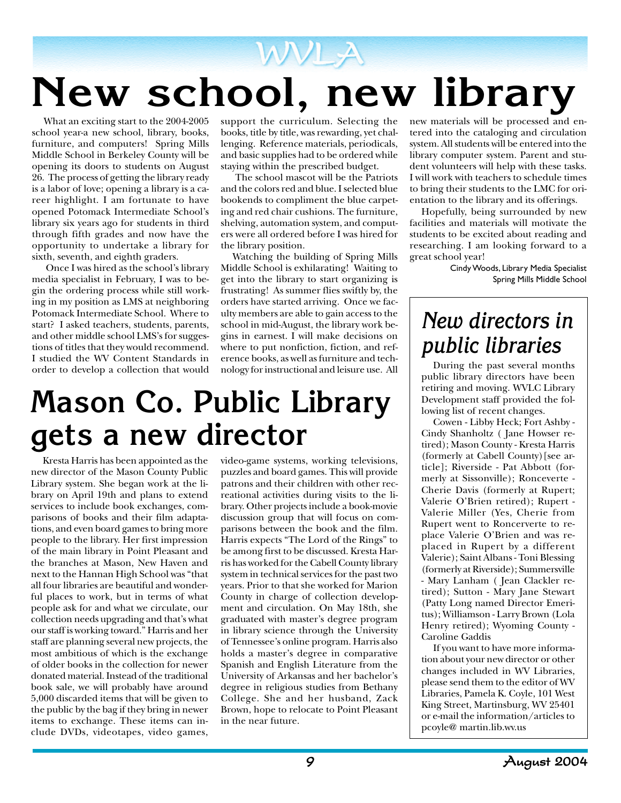# **New school, new library**

What an exciting start to the 2004-2005 school year-a new school, library, books, furniture, and computers! Spring Mills Middle School in Berkeley County will be opening its doors to students on August 26. The process of getting the library ready is a labor of love; opening a library is a career highlight. I am fortunate to have opened Potomack Intermediate School's library six years ago for students in third through fifth grades and now have the opportunity to undertake a library for sixth, seventh, and eighth graders.

 Once I was hired as the school's library media specialist in February, I was to begin the ordering process while still working in my position as LMS at neighboring Potomack Intermediate School. Where to start? I asked teachers, students, parents, and other middle school LMS's for suggestions of titles that they would recommend. I studied the WV Content Standards in order to develop a collection that would

support the curriculum. Selecting the books, title by title, was rewarding, yet challenging. Reference materials, periodicals, and basic supplies had to be ordered while staying within the prescribed budget.

 The school mascot will be the Patriots and the colors red and blue. I selected blue bookends to compliment the blue carpeting and red chair cushions. The furniture, shelving, automation system, and computers were all ordered before I was hired for the library position.

Watching the building of Spring Mills Middle School is exhilarating! Waiting to get into the library to start organizing is frustrating! As summer flies swiftly by, the orders have started arriving. Once we faculty members are able to gain access to the school in mid-August, the library work begins in earnest. I will make decisions on where to put nonfiction, fiction, and reference books, as well as furniture and technology for instructional and leisure use. All

### **Mason Co. Public Library gets a new director**

Kresta Harris has been appointed as the new director of the Mason County Public Library system. She began work at the library on April 19th and plans to extend services to include book exchanges, comparisons of books and their film adaptations, and even board games to bring more people to the library. Her first impression of the main library in Point Pleasant and the branches at Mason, New Haven and next to the Hannan High School was "that all four libraries are beautiful and wonderful places to work, but in terms of what people ask for and what we circulate, our collection needs upgrading and that's what our staff is working toward." Harris and her staff are planning several new projects, the most ambitious of which is the exchange of older books in the collection for newer donated material. Instead of the traditional book sale, we will probably have around 5,000 discarded items that will be given to the public by the bag if they bring in newer items to exchange. These items can include DVDs, videotapes, video games,

video-game systems, working televisions, puzzles and board games. This will provide patrons and their children with other recreational activities during visits to the library. Other projects include a book-movie discussion group that will focus on comparisons between the book and the film. Harris expects "The Lord of the Rings" to be among first to be discussed. Kresta Harris has worked for the Cabell County library system in technical services for the past two years. Prior to that she worked for Marion County in charge of collection development and circulation. On May 18th, she graduated with master's degree program in library science through the University of Tennessee's online program. Harris also holds a master's degree in comparative Spanish and English Literature from the University of Arkansas and her bachelor's degree in religious studies from Bethany College. She and her husband, Zack Brown, hope to relocate to Point Pleasant in the near future.

new materials will be processed and entered into the cataloging and circulation system. All students will be entered into the library computer system. Parent and student volunteers will help with these tasks. I will work with teachers to schedule times to bring their students to the LMC for orientation to the library and its offerings.

Hopefully, being surrounded by new facilities and materials will motivate the students to be excited about reading and researching. I am looking forward to a great school year!

> Cindy Woods, Library Media Specialist Spring Mills Middle School

### *New directors in public libraries*

During the past several months public library directors have been retiring and moving. WVLC Library Development staff provided the following list of recent changes.

Cowen - Libby Heck; Fort Ashby - Cindy Shanholtz ( Jane Howser retired); Mason County - Kresta Harris (formerly at Cabell County)[see article]; Riverside - Pat Abbott (formerly at Sissonville); Ronceverte - Cherie Davis (formerly at Rupert; Valerie O'Brien retired); Rupert - Valerie Miller (Yes, Cherie from Rupert went to Roncerverte to replace Valerie O'Brien and was replaced in Rupert by a different Valerie); Saint Albans - Toni Blessing (formerly at Riverside); Summersville - Mary Lanham ( Jean Clackler retired); Sutton - Mary Jane Stewart (Patty Long named Director Emeritus); Williamson - Larry Brown (Lola Henry retired); Wyoming County - Caroline Gaddis

If you want to have more information about your new director or other changes included in WV Libraries, please send them to the editor of WV Libraries, Pamela K. Coyle, 101 West King Street, Martinsburg, WV 25401 or e-mail the information/articles to pcoyle@ martin.lib.wv.us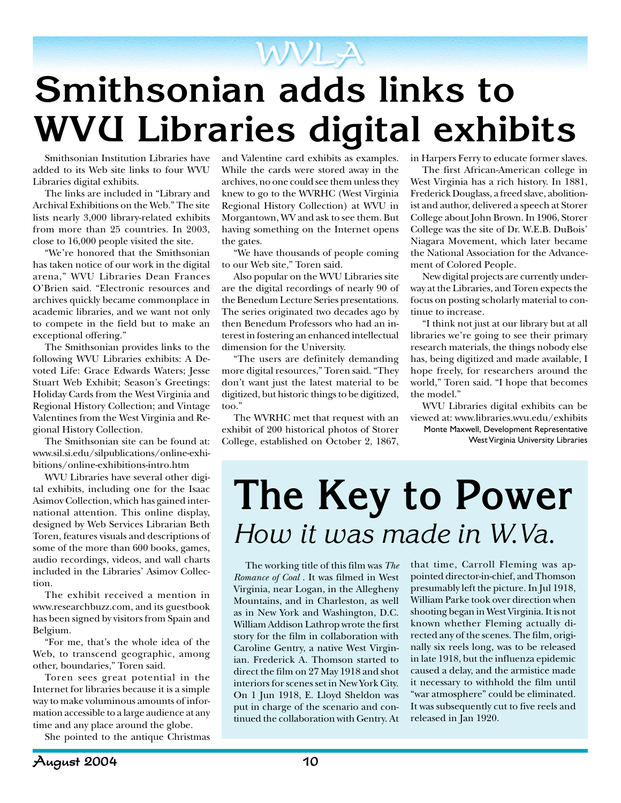## **Smithsonian adds links to WVU Libraries digital exhibits**

WVLA

Smithsonian Institution Libraries have added to its Web site links to four WVU Libraries digital exhibits.

The links are included in "Library and Archival Exhibitions on the Web." The site lists nearly 3,000 library-related exhibits from more than 25 countries. In 2003, close to 16,000 people visited the site.

"We're honored that the Smithsonian has taken notice of our work in the digital arena," WVU Libraries Dean Frances O'Brien said. "Electronic resources and archives quickly became commonplace in academic libraries, and we want not only to compete in the field but to make an exceptional offering."

The Smithsonian provides links to the following WVU Libraries exhibits: A Devoted Life: Grace Edwards Waters; Jesse Stuart Web Exhibit; Season's Greetings: Holiday Cards from the West Virginia and Regional History Collection; and Vintage Valentines from the West Virginia and Regional History Collection.

The Smithsonian site can be found at: www.sil.si.edu/silpublications/online-exhibitions/online-exhibitions-intro.htm

WVU Libraries have several other digital exhibits, including one for the Isaac Asimov Collection, which has gained international attention. This online display, designed by Web Services Librarian Beth Toren, features visuals and descriptions of some of the more than 600 books, games, audio recordings, videos, and wall charts included in the Libraries' Asimov Collection.

The exhibit received a mention in www.researchbuzz.com, and its guestbook has been signed by visitors from Spain and Belgium.

"For me, that's the whole idea of the Web, to transcend geographic, among other, boundaries," Toren said.

Toren sees great potential in the Internet for libraries because it is a simple way to make voluminous amounts of information accessible to a large audience at any time and any place around the globe.

She pointed to the antique Christmas

and Valentine card exhibits as examples. While the cards were stored away in the archives, no one could see them unless they knew to go to the WVRHC (West Virginia Regional History Collection) at WVU in Morgantown, WV and ask to see them. But having something on the Internet opens the gates.

"We have thousands of people coming to our Web site," Toren said.

Also popular on the WVU Libraries site are the digital recordings of nearly 90 of the Benedum Lecture Series presentations. The series originated two decades ago by then Benedum Professors who had an interest in fostering an enhanced intellectual dimension for the University.

"The users are definitely demanding more digital resources," Toren said. "They don't want just the latest material to be digitized, but historic things to be digitized, too."

The WVRHC met that request with an exhibit of 200 historical photos of Storer College, established on October 2, 1867, in Harpers Ferry to educate former slaves.

The first African-American college in West Virginia has a rich history. In 1881, Frederick Douglass, a freed slave, abolitionist and author, delivered a speech at Storer College about John Brown. In 1906, Storer College was the site of Dr. W.E.B. DuBois' Niagara Movement, which later became the National Association for the Advancement of Colored People.

New digital projects are currently underway at the Libraries, and Toren expects the focus on posting scholarly material to continue to increase.

"I think not just at our library but at all libraries we're going to see their primary research materials, the things nobody else has, being digitized and made available, I hope freely, for researchers around the world," Toren said. "I hope that becomes the model."

WVU Libraries digital exhibits can be viewed at: www.libraries.wvu.edu/exhibits Monte Maxwell, Development Representative West Virginia University Libraries

## **The Key to Power** *How it was made in W.Va.*

The working title of this film was *The Romance of Coal* . It was filmed in West Virginia, near Logan, in the Allegheny Mountains, and in Charleston, as well as in New York and Washington, D.C. William Addison Lathrop wrote the first story for the film in collaboration with Caroline Gentry, a native West Virginian. Frederick A. Thomson started to direct the film on 27 May 1918 and shot interiors for scenes set in New York City. On 1 Jun 1918, E. Lloyd Sheldon was put in charge of the scenario and continued the collaboration with Gentry. At

that time, Carroll Fleming was appointed director-in-chief, and Thomson presumably left the picture. In Jul 1918, William Parke took over direction when shooting began in West Virginia. It is not known whether Fleming actually directed any of the scenes. The film, originally six reels long, was to be released in late 1918, but the influenza epidemic caused a delay, and the armistice made it necessary to withhold the film until "war atmosphere" could be eliminated. It was subsequently cut to five reels and released in Jan 1920.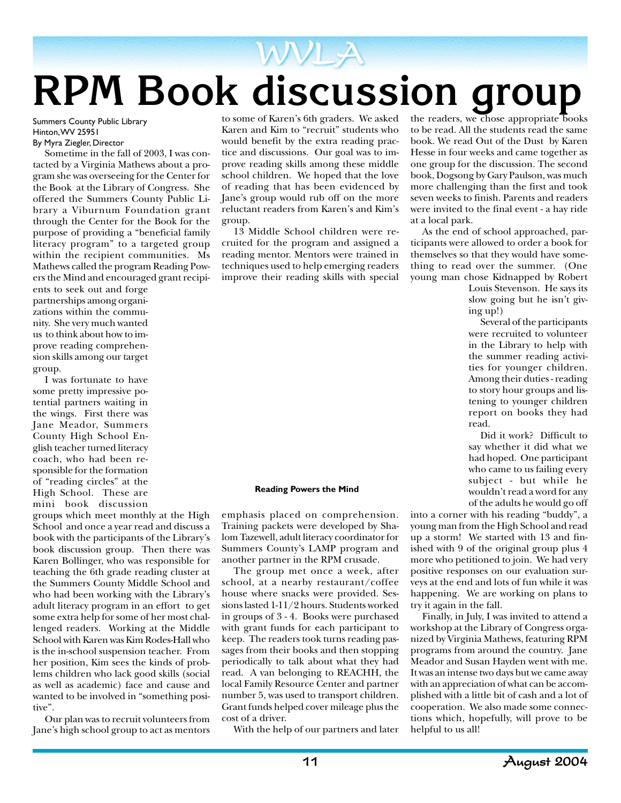## WVLA **RPM Book discussion group**

Summers County Public Library Hinton, WV 25951 By Myra Ziegler, Director

Sometime in the fall of 2003, I was contacted by a Virginia Mathews about a program she was overseeing for the Center for the Book at the Library of Congress. She offered the Summers County Public Library a Viburnum Foundation grant through the Center for the Book for the purpose of providing a "beneficial family literacy program" to a targeted group within the recipient communities. Ms Mathews called the program Reading Powers the Mind and encouraged grant recipi-

ents to seek out and forge partnerships among organizations within the community. She very much wanted us to think about how to improve reading comprehension skills among our target group.

I was fortunate to have some pretty impressive potential partners waiting in the wings. First there was Jane Meador, Summers County High School English teacher turned literacy coach, who had been responsible for the formation of "reading circles" at the High School. These are mini book discussion

groups which meet monthly at the High School and once a year read and discuss a book with the participants of the Library's book discussion group. Then there was Karen Bollinger, who was responsible for teaching the 6th grade reading cluster at the Summers County Middle School and who had been working with the Library's adult literacy program in an effort to get some extra help for some of her most challenged readers. Working at the Middle School with Karen was Kim Rodes-Hall who is the in-school suspension teacher. From her position, Kim sees the kinds of problems children who lack good skills (social as well as academic) face and cause and wanted to be involved in "something positive".

Our plan was to recruit volunteers from Jane's high school group to act as mentors

to some of Karen's 6th graders. We asked Karen and Kim to "recruit" students who would benefit by the extra reading practice and discussions. Our goal was to improve reading skills among these middle school children. We hoped that the love of reading that has been evidenced by Jane's group would rub off on the more reluctant readers from Karen's and Kim's group.

13 Middle School children were recruited for the program and assigned a reading mentor. Mentors were trained in techniques used to help emerging readers improve their reading skills with special

#### **Reading Powers the Mind**

emphasis placed on comprehension. Training packets were developed by Shalom Tazewell, adult literacy coordinator for Summers County's LAMP program and another partner in the RPM crusade.

The group met once a week, after school, at a nearby restaurant/coffee house where snacks were provided. Sessions lasted 1-11/2 hours. Students worked in groups of 3 - 4. Books were purchased with grant funds for each participant to keep. The readers took turns reading passages from their books and then stopping periodically to talk about what they had read. A van belonging to REACHH, the local Family Resource Center and partner number 5, was used to transport children. Grant funds helped cover mileage plus the cost of a driver.

With the help of our partners and later

the readers, we chose appropriate books to be read. All the students read the same book. We read Out of the Dust by Karen Hesse in four weeks and came together as one group for the discussion. The second book, Dogsong by Gary Paulson, was much more challenging than the first and took seven weeks to finish. Parents and readers were invited to the final event - a hay ride at a local park.

As the end of school approached, participants were allowed to order a book for themselves so that they would have something to read over the summer. (One young man chose Kidnapped by Robert

> Louis Stevenson. He says its slow going but he isn't giving up!)

> Several of the participants were recruited to volunteer in the Library to help with the summer reading activities for younger children. Among their duties - reading to story hour groups and listening to younger children report on books they had read.

> Did it work? Difficult to say whether it did what we had hoped. One participant who came to us failing every subject - but while he wouldn't read a word for any of the adults he would go off

into a corner with his reading "buddy", a young man from the High School and read up a storm! We started with 13 and finished with 9 of the original group plus 4 more who petitioned to join. We had very positive responses on our evaluation surveys at the end and lots of fun while it was happening. We are working on plans to try it again in the fall.

Finally, in July, I was invited to attend a workshop at the Library of Congress organized by Virginia Mathews, featuring RPM programs from around the country. Jane Meador and Susan Hayden went with me. It was an intense two days but we came away with an appreciation of what can be accomplished with a little bit of cash and a lot of cooperation. We also made some connections which, hopefully, will prove to be helpful to us all!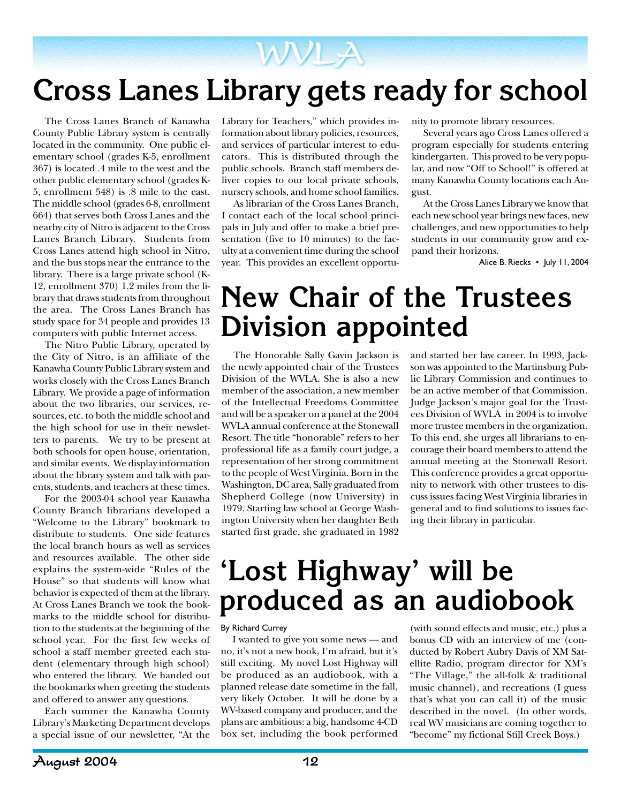### **WVL-A Cross Lanes Library gets ready for school**

The Cross Lanes Branch of Kanawha County Public Library system is centrally located in the community. One public elementary school (grades K-5, enrollment 367) is located .4 mile to the west and the other public elementary school (grades K-5, enrollment 548) is .8 mile to the east. The middle school (grades 6-8, enrollment 664) that serves both Cross Lanes and the nearby city of Nitro is adjacent to the Cross Lanes Branch Library. Students from Cross Lanes attend high school in Nitro, and the bus stops near the entrance to the library. There is a large private school (K-12, enrollment 370) 1.2 miles from the library that draws students from throughout the area. The Cross Lanes Branch has study space for 34 people and provides 13 computers with public Internet access.

The Nitro Public Library, operated by the City of Nitro, is an affiliate of the Kanawha County Public Library system and works closely with the Cross Lanes Branch Library. We provide a page of information about the two libraries, our services, resources, etc. to both the middle school and the high school for use in their newsletters to parents. We try to be present at both schools for open house, orientation, and similar events. We display information about the library system and talk with parents, students, and teachers at these times.

For the 2003-04 school year Kanawha County Branch librarians developed a "Welcome to the Library" bookmark to distribute to students. One side features the local branch hours as well as services and resources available. The other side explains the system-wide "Rules of the House" so that students will know what behavior is expected of them at the library. At Cross Lanes Branch we took the bookmarks to the middle school for distribution to the students at the beginning of the school year. For the first few weeks of school a staff member greeted each student (elementary through high school) who entered the library. We handed out the bookmarks when greeting the students and offered to answer any questions.

Each summer the Kanawha County Library's Marketing Department develops a special issue of our newsletter, "At the Library for Teachers," which provides information about library policies, resources, and services of particular interest to educators. This is distributed through the public schools. Branch staff members deliver copies to our local private schools, nursery schools, and home school families.

As librarian of the Cross Lanes Branch, I contact each of the local school principals in July and offer to make a brief presentation (five to 10 minutes) to the faculty at a convenient time during the school year. This provides an excellent opportunity to promote library resources.

Several years ago Cross Lanes offered a program especially for students entering kindergarten. This proved to be very popular, and now "Off to School!" is offered at many Kanawha County locations each August.

At the Cross Lanes Library we know that each new school year brings new faces, new challenges, and new opportunities to help students in our community grow and expand their horizons.

Alice B. Riecks • July 11, 2004

### **New Chair of the Trustees Division appointed**

The Honorable Sally Gavin Jackson is the newly appointed chair of the Trustees Division of the WVLA. She is also a new member of the association, a new member of the Intellectual Freedoms Committee and will be a speaker on a panel at the 2004 WVLA annual conference at the Stonewall Resort. The title "honorable" refers to her professional life as a family court judge, a representation of her strong commitment to the people of West Virginia. Born in the Washington, DC area, Sally graduated from Shepherd College (now University) in 1979. Starting law school at George Washington University when her daughter Beth started first grade, she graduated in 1982

and started her law career. In 1993, Jackson was appointed to the Martinsburg Public Library Commission and continues to be an active member of that Commission. Judge Jackson's major goal for the Trustees Division of WVLA in 2004 is to involve more trustee members in the organization. To this end, she urges all librarians to encourage their board members to attend the annual meeting at the Stonewall Resort. This conference provides a great opportunity to network with other trustees to discuss issues facing West Virginia libraries in general and to find solutions to issues facing their library in particular.

### **'Lost Highway' will be produced as an audiobook**

#### By Richard Currey

I wanted to give you some news — and no, it's not a new book, I'm afraid, but it's still exciting. My novel Lost Highway will be produced as an audiobook, with a planned release date sometime in the fall, very likely October. It will be done by a WV-based company and producer, and the plans are ambitious: a big, handsome 4-CD box set, including the book performed

(with sound effects and music, etc.) plus a bonus CD with an interview of me (conducted by Robert Aubry Davis of XM Satellite Radio, program director for XM's "The Village," the all-folk & traditional music channel), and recreations (I guess that's what you can call it) of the music described in the novel. (In other words, real WV musicians are coming together to "become" my fictional Still Creek Boys.)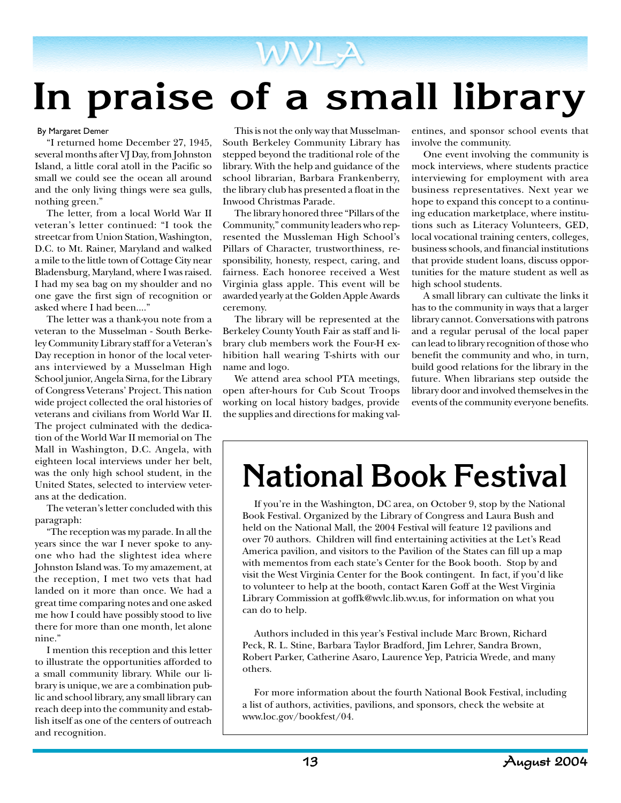## **In praise of a small library**

#### By Margaret Demer

"I returned home December 27, 1945, several months after VJ Day, from Johnston Island, a little coral atoll in the Pacific so small we could see the ocean all around and the only living things were sea gulls, nothing green."

The letter, from a local World War II veteran's letter continued: "I took the streetcar from Union Station, Washington, D.C. to Mt. Rainer, Maryland and walked a mile to the little town of Cottage City near Bladensburg, Maryland, where I was raised. I had my sea bag on my shoulder and no one gave the first sign of recognition or asked where I had been...."

The letter was a thank-you note from a veteran to the Musselman - South Berkeley Community Library staff for a Veteran's Day reception in honor of the local veterans interviewed by a Musselman High School junior, Angela Sirna, for the Library of Congress Veterans' Project. This nation wide project collected the oral histories of veterans and civilians from World War II. The project culminated with the dedication of the World War II memorial on The Mall in Washington, D.C. Angela, with eighteen local interviews under her belt, was the only high school student, in the United States, selected to interview veterans at the dedication.

The veteran's letter concluded with this paragraph:

"The reception was my parade. In all the years since the war I never spoke to anyone who had the slightest idea where Johnston Island was. To my amazement, at the reception, I met two vets that had landed on it more than once. We had a great time comparing notes and one asked me how I could have possibly stood to live there for more than one month, let alone nine."

I mention this reception and this letter to illustrate the opportunities afforded to a small community library. While our library is unique, we are a combination public and school library, any small library can reach deep into the community and establish itself as one of the centers of outreach and recognition.

This is not the only way that Musselman-South Berkeley Community Library has stepped beyond the traditional role of the library. With the help and guidance of the school librarian, Barbara Frankenberry, the library club has presented a float in the Inwood Christmas Parade.

The library honored three "Pillars of the Community," community leaders who represented the Mussleman High School's Pillars of Character, trustworthiness, responsibility, honesty, respect, caring, and fairness. Each honoree received a West Virginia glass apple. This event will be awarded yearly at the Golden Apple Awards ceremony.

The library will be represented at the Berkeley County Youth Fair as staff and library club members work the Four-H exhibition hall wearing T-shirts with our name and logo.

We attend area school PTA meetings, open after-hours for Cub Scout Troops working on local history badges, provide the supplies and directions for making valentines, and sponsor school events that involve the community.

One event involving the community is mock interviews, where students practice interviewing for employment with area business representatives. Next year we hope to expand this concept to a continuing education marketplace, where institutions such as Literacy Volunteers, GED, local vocational training centers, colleges, business schools, and financial institutions that provide student loans, discuss opportunities for the mature student as well as high school students.

A small library can cultivate the links it has to the community in ways that a larger library cannot. Conversations with patrons and a regular perusal of the local paper can lead to library recognition of those who benefit the community and who, in turn, build good relations for the library in the future. When librarians step outside the library door and involved themselves in the events of the community everyone benefits.

## **National Book Festival**

If you're in the Washington, DC area, on October 9, stop by the National Book Festival. Organized by the Library of Congress and Laura Bush and held on the National Mall, the 2004 Festival will feature 12 pavilions and over 70 authors. Children will find entertaining activities at the Let's Read America pavilion, and visitors to the Pavilion of the States can fill up a map with mementos from each state's Center for the Book booth. Stop by and visit the West Virginia Center for the Book contingent. In fact, if you'd like to volunteer to help at the booth, contact Karen Goff at the West Virginia Library Commission at goffk@wvlc.lib.wv.us, for information on what you can do to help.

Authors included in this year's Festival include Marc Brown, Richard Peck, R. L. Stine, Barbara Taylor Bradford, Jim Lehrer, Sandra Brown, Robert Parker, Catherine Asaro, Laurence Yep, Patricia Wrede, and many others.

For more information about the fourth National Book Festival, including a list of authors, activities, pavilions, and sponsors, check the website at www.loc.gov/bookfest/04.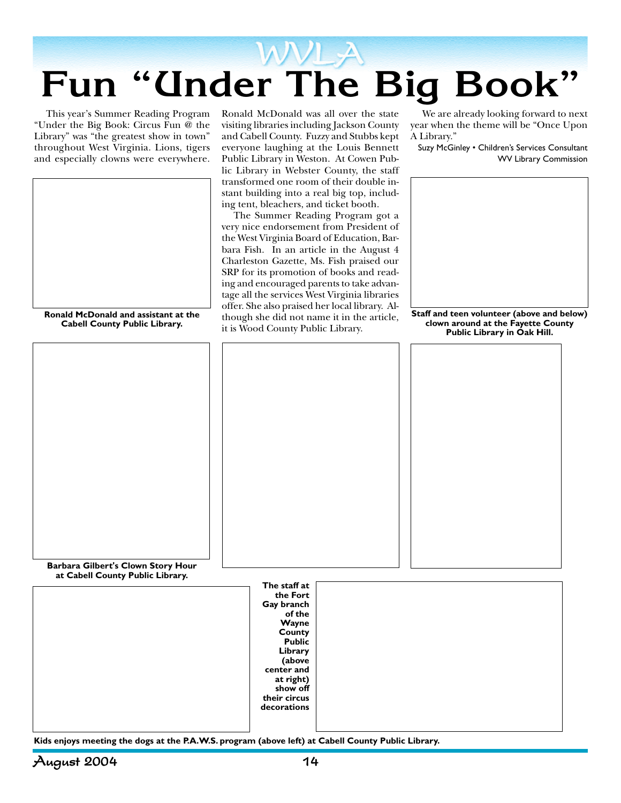

This year's Summer Reading Program "Under the Big Book: Circus Fun @ the Library" was "the greatest show in town" throughout West Virginia. Lions, tigers and especially clowns were everywhere.



**Ronald McDonald and assistant at the Cabell County Public Library.**

Ronald McDonald was all over the state visiting libraries including Jackson County and Cabell County. Fuzzy and Stubbs kept everyone laughing at the Louis Bennett Public Library in Weston. At Cowen Public Library in Webster County, the staff transformed one room of their double instant building into a real big top, including tent, bleachers, and ticket booth.

The Summer Reading Program got a very nice endorsement from President of the West Virginia Board of Education, Barbara Fish. In an article in the August 4 Charleston Gazette, Ms. Fish praised our SRP for its promotion of books and reading and encouraged parents to take advantage all the services West Virginia libraries offer. She also praised her local library. Although she did not name it in the article, it is Wood County Public Library.

We are already looking forward to next year when the theme will be "Once Upon A Library."

Suzy McGinley • Children's Services Consultant WV Library Commission



**Staff and teen volunteer (above and below) clown around at the Fayette County Public Library in Oak Hill.**

**Barbara Gilbert's Clown Story Hour at Cabell County Public Library.**

| The staff at<br>the Fort<br>Gay branch<br>of the<br>Wayne<br>County<br><b>Public</b><br>Library<br>(above<br>center and<br>at right)<br>show off<br>their circus<br>decorations |  |
|---------------------------------------------------------------------------------------------------------------------------------------------------------------------------------|--|
|                                                                                                                                                                                 |  |

**Kids enjoys meeting the dogs at the P.A.W.S. program (above left) at Cabell County Public Library.**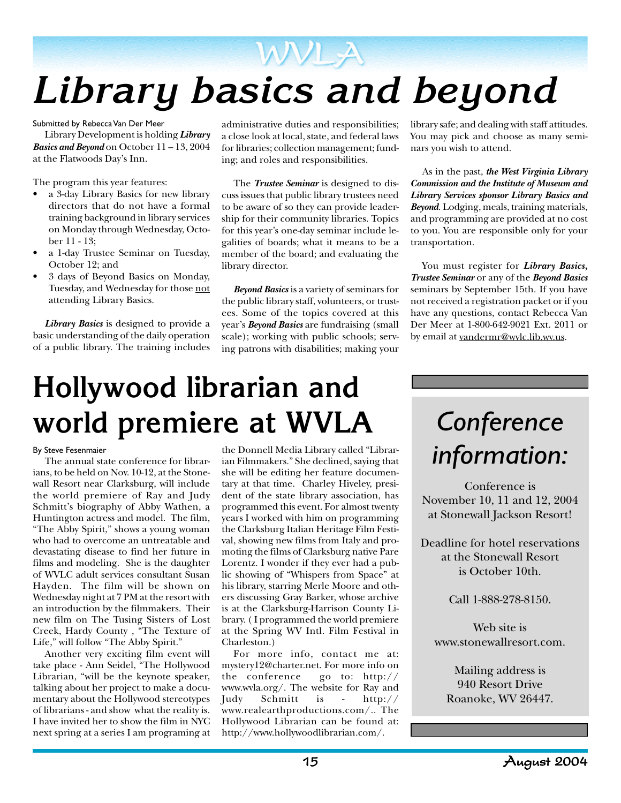

Submitted by Rebecca Van Der Meer

Library Development is holding *Library Basics and Beyond* on October 11 – 13, 2004 at the Flatwoods Day's Inn.

The program this year features:

- a 3-day Library Basics for new library directors that do not have a formal training background in library services on Monday through Wednesday, October 11 - 13;
- a 1-day Trustee Seminar on Tuesday, October 12; and
- 3 days of Beyond Basics on Monday, Tuesday, and Wednesday for those not attending Library Basics.

*Library Basics* is designed to provide a basic understanding of the daily operation of a public library. The training includes administrative duties and responsibilities; a close look at local, state, and federal laws for libraries; collection management; funding; and roles and responsibilities.

The *Trustee Seminar* is designed to discuss issues that public library trustees need to be aware of so they can provide leadership for their community libraries. Topics for this year's one-day seminar include legalities of boards; what it means to be a member of the board; and evaluating the library director.

*Beyond Basics* is a variety of seminars for the public library staff, volunteers, or trustees. Some of the topics covered at this year's *Beyond Basics* are fundraising (small scale); working with public schools; serving patrons with disabilities; making your

library safe; and dealing with staff attitudes. You may pick and choose as many seminars you wish to attend.

As in the past, *the West Virginia Library Commission and the Institute of Museum and Library Services sponsor Library Basics and Beyond*. Lodging, meals, training materials, and programming are provided at no cost to you. You are responsible only for your transportation.

You must register for *Library Basics, Trustee Seminar* or any of the *Beyond Basics* seminars by September 15th. If you have not received a registration packet or if you have any questions, contact Rebecca Van Der Meer at 1-800-642-9021 Ext. 2011 or by email at vandermr@wvlc.lib.wv.us.

## **Hollywood librarian and world premiere at WVLA**

#### By Steve Fesenmaier

The annual state conference for librarians, to be held on Nov. 10-12, at the Stonewall Resort near Clarksburg, will include the world premiere of Ray and Judy Schmitt's biography of Abby Wathen, a Huntington actress and model. The film, "The Abby Spirit," shows a young woman who had to overcome an untreatable and devastating disease to find her future in films and modeling. She is the daughter of WVLC adult services consultant Susan Hayden. The film will be shown on Wednesday night at 7 PM at the resort with an introduction by the filmmakers. Their new film on The Tusing Sisters of Lost Creek, Hardy County , "The Texture of Life," will follow "The Abby Spirit."

Another very exciting film event will take place - Ann Seidel, "The Hollywood Librarian, "will be the keynote speaker, talking about her project to make a documentary about the Hollywood stereotypes of librarians - and show what the reality is. I have invited her to show the film in NYC next spring at a series I am programing at

the Donnell Media Library called "Librarian Filmmakers." She declined, saying that she will be editing her feature documentary at that time. Charley Hiveley, president of the state library association, has programmed this event. For almost twenty years I worked with him on programming the Clarksburg Italian Heritage Film Festival, showing new films from Italy and promoting the films of Clarksburg native Pare Lorentz. I wonder if they ever had a public showing of "Whispers from Space" at his library, starring Merle Moore and others discussing Gray Barker, whose archive is at the Clarksburg-Harrison County Library. ( I programmed the world premiere at the Spring WV Intl. Film Festival in Charleston.)

For more info, contact me at: mystery12@charter.net. For more info on the conference go to: http:// www.wvla.org/. The website for Ray and Judy Schmitt is - http:// www.realearthproductions.com/.. The Hollywood Librarian can be found at: http://www.hollywoodlibrarian.com/.

### *Conference information:*

Conference is November 10, 11 and 12, 2004 at Stonewall Jackson Resort!

Deadline for hotel reservations at the Stonewall Resort is October 10th.

Call 1-888-278-8150.

Web site is www.stonewallresort.com.

> Mailing address is 940 Resort Drive Roanoke, WV 26447.